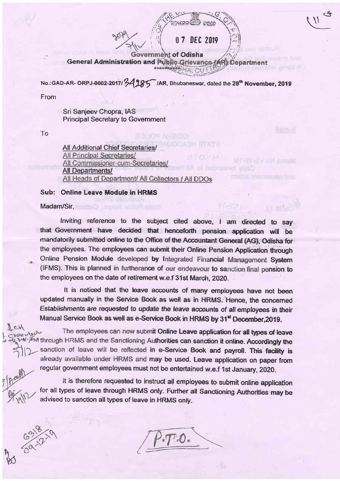Government of Odisha General Administration and Public Grievance (AR) Department

0 7 DEC 2019

No.:GAD-AR-ORPJ-0002-2017/34985 IAR, Bhubaneswar, dated the 28<sup>th</sup> November, 2019

From

Sri Sanjeev Chopra, IAS **Principal Secretary to Government** 

To

**All Additional Chief Secretaries/** All Principal Secretaries/ All Commissioner-cum-Secretaries/ **All Departments/** All Heads of Department/ All Collectors / All DDOs

Sub: Online Leave Module in HRMS

Madam/Sir,

 $M_{ch}$ 

6316

Inviting reference to the subject cited above, I am directed to say that Government have decided that henceforth pension application will be mandatorily submitted online to the Office of the Accountant General (AG), Odisha for the employees. The employees can submit their Online Pension Application through Online Pension Module developed by Integrated Financial Management System (IFMS). This is planned in furtherance of our endeavour to sanction final pension to the employees on the date of retirement w.e.f 31st March, 2020.

It is noticed that the leave accounts of many employees have not been updated manually in the Service Book as well as in HRMS. Hence, the concerned Establishments are requested to update the leave accounts of all employees in their Manual Service Book as well as e-Service Book in HRMS by 31<sup>st</sup> December 2019.

The employees can now submit Online Leave application for all types of leave bust / fail through HRMS and the Sanctioning Authorities can sanction it online. Accordingly the sanction of leave will be reflected in e-Service Book and payroll. This facility is already available under HRMS and may be used. Leave application on paper from regular government employees must not be entertained w.e.f 1st January, 2020.

It is therefore requested to instruct all employees to submit online application for all types of leave through HRMS only. Further all Sanctioning Authorities may be advised to sanction all types of leave in HRMS only.